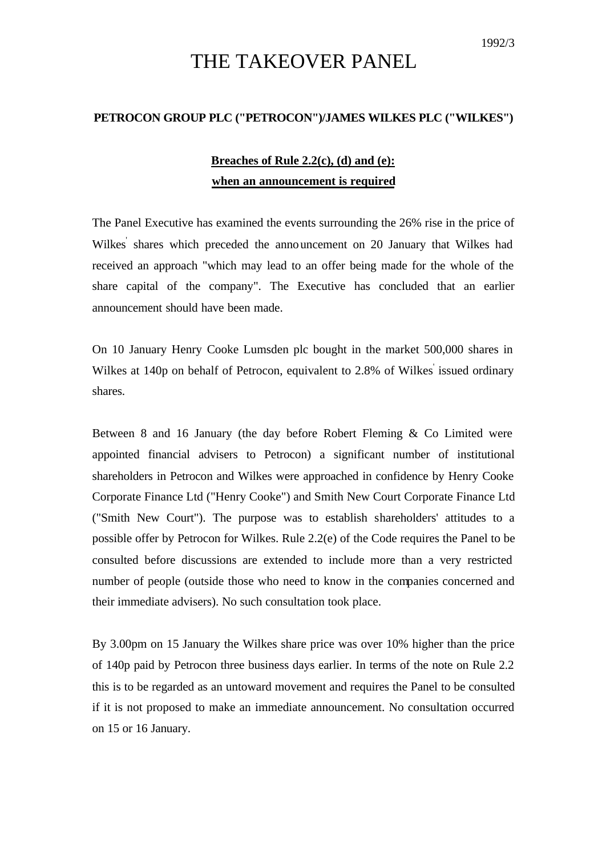# THE TAKEOVER PANEL

# **PETROCON GROUP PLC ("PETROCON")/JAMES WILKES PLC ("WILKES")**

# **Breaches of Rule 2.2(c), (d) and (e): when an announcement is required**

The Panel Executive has examined the events surrounding the 26% rise in the price of Wilkes' shares which preceded the announcement on 20 January that Wilkes had received an approach "which may lead to an offer being made for the whole of the share capital of the company". The Executive has concluded that an earlier announcement should have been made.

On 10 January Henry Cooke Lumsden plc bought in the market 500,000 shares in Wilkes at 140p on behalf of Petrocon, equivalent to 2.8% of Wilkes issued ordinary shares.

Between 8 and 16 January (the day before Robert Fleming & Co Limited were appointed financial advisers to Petrocon) a significant number of institutional shareholders in Petrocon and Wilkes were approached in confidence by Henry Cooke Corporate Finance Ltd ("Henry Cooke") and Smith New Court Corporate Finance Ltd ("Smith New Court"). The purpose was to establish shareholders' attitudes to a possible offer by Petrocon for Wilkes. Rule 2.2(e) of the Code requires the Panel to be consulted before discussions are extended to include more than a very restricted number of people (outside those who need to know in the companies concerned and their immediate advisers). No such consultation took place.

By 3.00pm on 15 January the Wilkes share price was over 10% higher than the price of 140p paid by Petrocon three business days earlier. In terms of the note on Rule 2.2 this is to be regarded as an untoward movement and requires the Panel to be consulted if it is not proposed to make an immediate announcement. No consultation occurred on 15 or 16 January.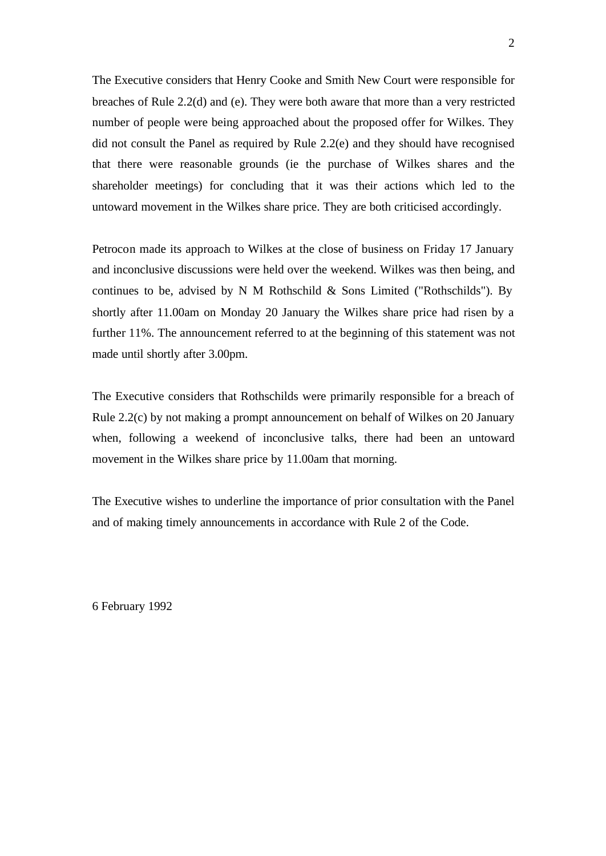The Executive considers that Henry Cooke and Smith New Court were responsible for breaches of Rule 2.2(d) and (e). They were both aware that more than a very restricted number of people were being approached about the proposed offer for Wilkes. They did not consult the Panel as required by Rule 2.2(e) and they should have recognised that there were reasonable grounds (ie the purchase of Wilkes shares and the shareholder meetings) for concluding that it was their actions which led to the untoward movement in the Wilkes share price. They are both criticised accordingly.

Petrocon made its approach to Wilkes at the close of business on Friday 17 January and inconclusive discussions were held over the weekend. Wilkes was then being, and continues to be, advised by N M Rothschild  $\&$  Sons Limited ("Rothschilds"). By shortly after 11.00am on Monday 20 January the Wilkes share price had risen by a further 11%. The announcement referred to at the beginning of this statement was not made until shortly after 3.00pm.

The Executive considers that Rothschilds were primarily responsible for a breach of Rule 2.2(c) by not making a prompt announcement on behalf of Wilkes on 20 January when, following a weekend of inconclusive talks, there had been an untoward movement in the Wilkes share price by 11.00am that morning.

The Executive wishes to underline the importance of prior consultation with the Panel and of making timely announcements in accordance with Rule 2 of the Code.

6 February 1992